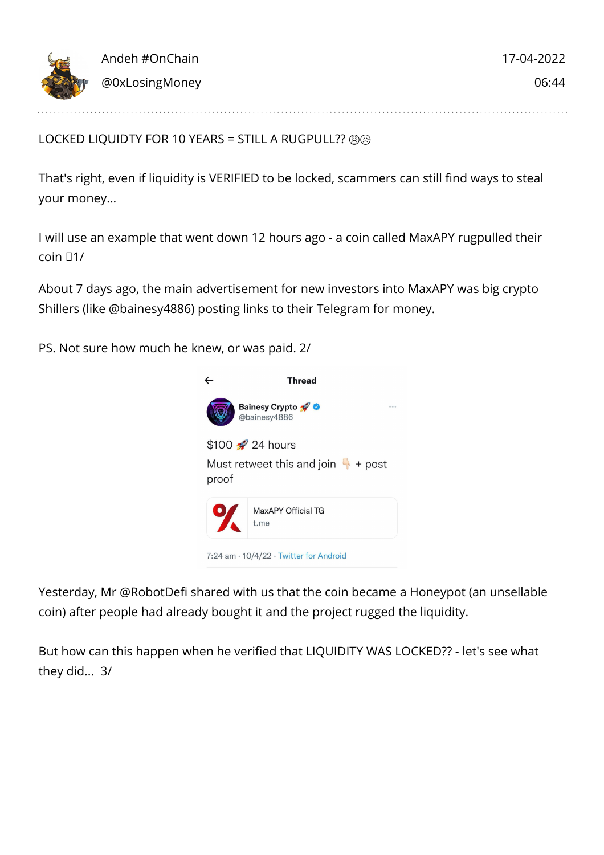

LOCKED LIQUIDTY FOR 10 YEARS = STILL A RUGPULL?? @@

That's right, even if liquidity is VERIFIED to be locked, scammers can still find ways to steal your money...

I will use an example that went down 12 hours ago - a coin called MaxAPY rugpulled their coin  $\Box$ 1/

About 7 days ago, the main advertisement for new investors into MaxAPY was big crypto Shillers (like @bainesy4886) posting links to their Telegram for money.

PS. Not sure how much he knew, or was paid. 2/



Yesterday, Mr @RobotDefi shared with us that the coin became a Honeypot (an unsellable coin) after people had already bought it and the project rugged the liquidity.

But how can this happen when he verified that LIQUIDITY WAS LOCKED?? - let's see what they did... 3/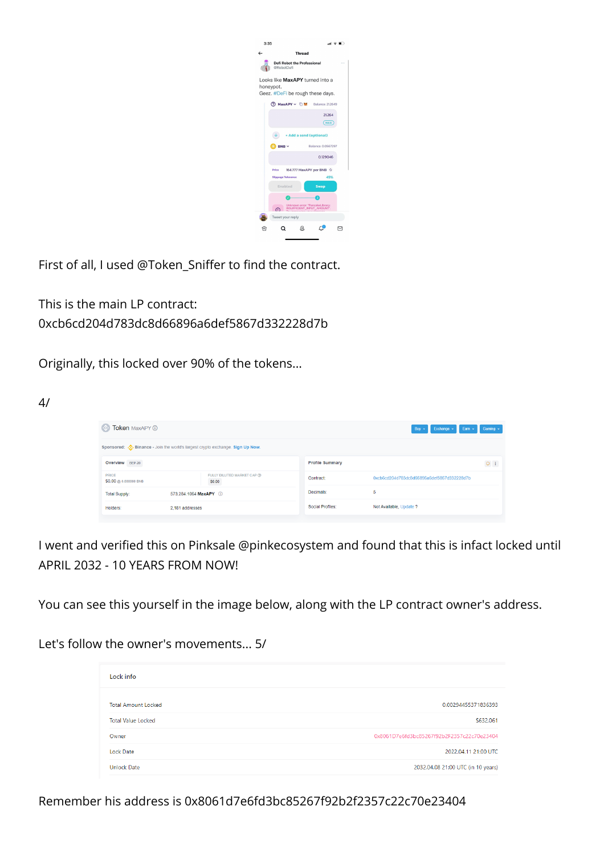|                                                      | 3:35                                                                             |                                                                |                  |  |  |  |  |
|------------------------------------------------------|----------------------------------------------------------------------------------|----------------------------------------------------------------|------------------|--|--|--|--|
| $\leftarrow$<br><b>Thread</b>                        |                                                                                  |                                                                |                  |  |  |  |  |
| <b>Defi Robot the Professional</b><br><br>@RobotDefi |                                                                                  |                                                                |                  |  |  |  |  |
|                                                      | Looks like MaxAPY turned into a<br>honeypot.<br>Geez. #DeFi be rough these days. |                                                                |                  |  |  |  |  |
|                                                      | ⑦ MaxAPY > □ M                                                                   |                                                                | Balance: 21,2649 |  |  |  |  |
|                                                      |                                                                                  |                                                                | 21.264<br>(MAX)  |  |  |  |  |
|                                                      |                                                                                  | <b>Add a send (optional)</b>                                   |                  |  |  |  |  |
|                                                      | Balance: 0.0567297<br>BNB v                                                      |                                                                |                  |  |  |  |  |
|                                                      | 0.129046                                                                         |                                                                |                  |  |  |  |  |
|                                                      | <b>Price</b>                                                                     | 164.777 MaxAPY per BNB + C                                     |                  |  |  |  |  |
|                                                      | <b>Slippage Tolerance</b>                                                        |                                                                | 49%              |  |  |  |  |
|                                                      | Enabled                                                                          |                                                                | <b>Swap</b>      |  |  |  |  |
|                                                      |                                                                                  |                                                                |                  |  |  |  |  |
|                                                      | ⋒                                                                                | Unknown error: "PancakeLibrary:<br>INSUFFICIENT_INPUT_AMOUNT". |                  |  |  |  |  |
|                                                      | Tweet your reply                                                                 |                                                                |                  |  |  |  |  |
| ſo                                                   |                                                                                  |                                                                |                  |  |  |  |  |

First of all, I used @Token\_Sniffer to find the contract.

This is the main LP contract: 0xcb6cd204d783dc8d66896a6def5867d332228d7b

Originally, this locked over 90% of the tokens...

4/

| $\sim$<br>Token MaxAPY (1)                                                          |                                      |                        | Gaming v<br>Exchange v<br>Earn ~<br>Buy $\sim$ |  |  |  |  |
|-------------------------------------------------------------------------------------|--------------------------------------|------------------------|------------------------------------------------|--|--|--|--|
| Sponsored: $\cdot$ Binance - Join the world's largest crypto exchange. Sign Up Now. |                                      |                        |                                                |  |  |  |  |
| Overview BEP-20                                                                     |                                      | <b>Profile Summary</b> | $O \left( \frac{1}{2} \right)$                 |  |  |  |  |
| PRICE<br>\$0.00 @ 0.000000 BNB                                                      | FULLY DILUTED MARKET CAP @<br>\$0.00 | Contract:              | 0xcb6cd204d783dc8d66896a6def5867d332228d7b     |  |  |  |  |
| <b>Total Supply:</b>                                                                | 573.284.1064 MaxAPY (1)              | Decimals:              | 5                                              |  |  |  |  |
| Holders:                                                                            | 2.181 addresses                      | Social Profiles:       | Not Available, Update ?                        |  |  |  |  |
|                                                                                     |                                      |                        |                                                |  |  |  |  |

I went and verified this on Pinksale @pinkecosystem and found that this is infact locked until APRIL 2032 - 10 YEARS FROM NOW!

You can see this yourself in the image below, along with the LP contract owner's address.

Let's follow the owner's movements... 5/

| Lock info                  |                                            |
|----------------------------|--------------------------------------------|
| <b>Total Amount Locked</b> | 0.00294455371836393                        |
| <b>Total Value Locked</b>  | \$632,061                                  |
| Owner                      | 0x8061D7e6fd3bc85267f92b2F2357c22c70e23404 |
| Lock Date                  | 2022.04.11 21:00 UTC                       |
| <b>Unlock Date</b>         | 2032.04.08 21:00 UTC (in 10 years)         |

Remember his address is 0x8061d7e6fd3bc85267f92b2f2357c22c70e23404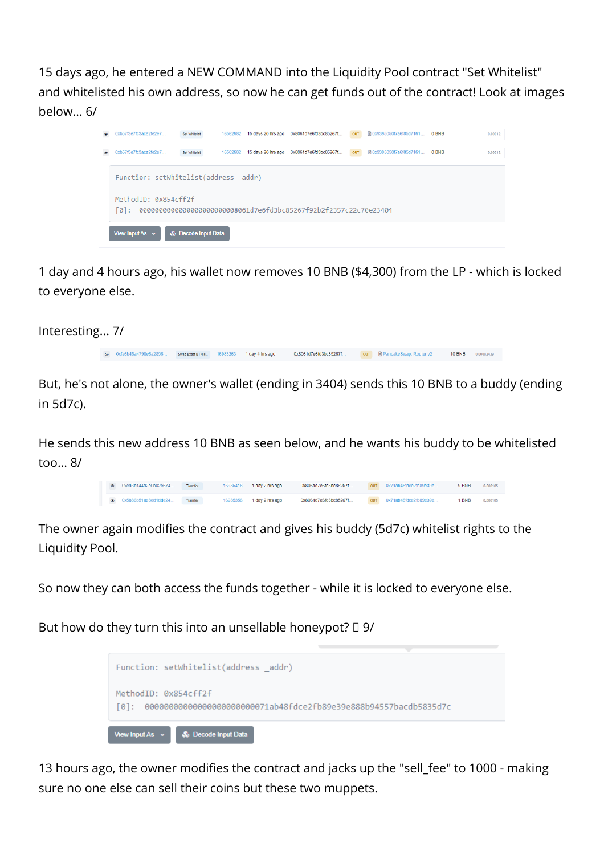15 days ago, he entered a NEW COMMAND into the Liquidity Pool contract "Set Whitelist" and whitelisted his own address, so now he can get funds out of the contract! Look at images below<sub>6/</sub>



1 day and 4 hours ago, his wallet now removes 10 BNB (\$4,300) from the LP - which is locked to everyone else.

Interesting... 7/

o 0xfa6b46a4798e6a2856... SwapExactETHE. 16983263 1 day 4 hrs ago 0x8061d7e6fd3bc85267f... our @PancakeSwap: Router v2 10 BNB 0.00082439

But, he's not alone, the owner's wallet (ending in 3404) sends this 10 BNB to a buddy (ending in 5d7c).

He sends this new address 10 BNB as seen below, and he wants his buddy to be whitelisted too... 8/

| $\circ$ | 0xea3b144d2e0b02e674   | Transfer | 16985418 | 1 day 2 hrs ago | 0x8061d7e6fd3bc85267f | out 0x71ab48fdce2fb89e39e | 9 BNB      | 0.000105 |
|---------|------------------------|----------|----------|-----------------|-----------------------|---------------------------|------------|----------|
|         | @ 0x5886b51ae8ed1dde24 | Transfer | 16985356 | 1 day 2 hrs ago | 0x8061d7e6fd3bc85267f | out 0x71ab48fdce2fb89e39e | <b>SNB</b> | 0.000105 |

The owner again modifies the contract and gives his buddy (5d7c) whitelist rights to the Liquidity Pool.

So now they can both access the funds together - while it is locked to everyone else.

But how do they turn this into an unsellable honeypot?  $\Box$  9/

|                      | Function: setWhitelist(address _addr)                             |                                                                      |  |
|----------------------|-------------------------------------------------------------------|----------------------------------------------------------------------|--|
| MethodID: 0x854cff2f |                                                                   | [0]: 0000000000000000000000071ab48fdce2fb89e39e888b94557bacdb5835d7c |  |
|                      | View Input As $\sim$ $\blacksquare$ $\clubsuit$ Decode Input Data |                                                                      |  |

13 hours ago, the owner modifies the contract and jacks up the "sell\_fee" to 1000 - making sure no one else can sell their coins but these two muppets.